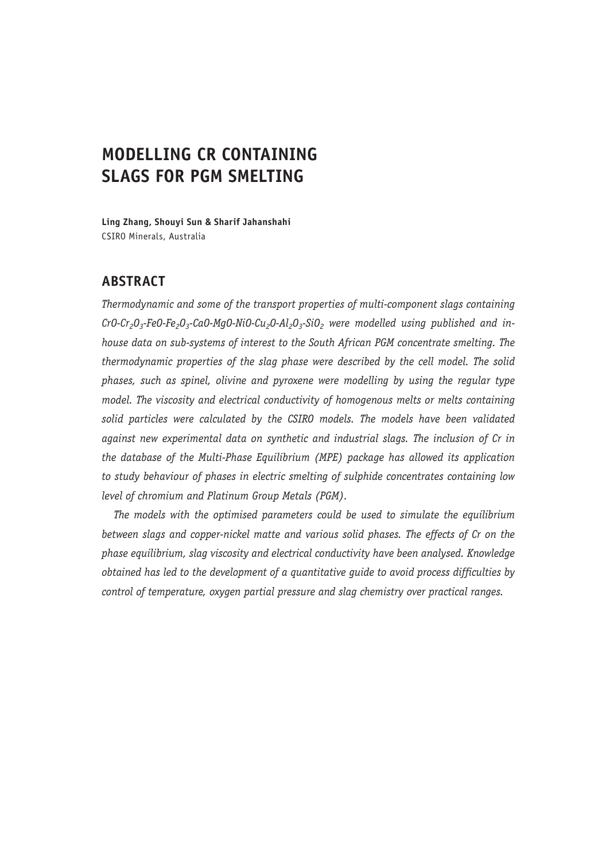# **MODELLING CR CONTAINING SLAGS FOR PGM SMELTING**

**Ling Zhang, Shouyi Sun & Sharif Jahanshahi** CSIRO Minerals, Australia

# **ABSTRACT**

*Thermodynamic and some of the transport properties of multi-component slags containing*  CrO-Cr<sub>2</sub>O<sub>3</sub>-FeO-Fe<sub>2</sub>O<sub>3</sub>-CaO-MgO-NiO-Cu<sub>2</sub>O-Al<sub>2</sub>O<sub>3</sub>-SiO<sub>2</sub> were modelled using published and in*house data on sub-systems of interest to the South African PGM concentrate smelting. The thermodynamic properties of the slag phase were described by the cell model. The solid phases, such as spinel, olivine and pyroxene were modelling by using the regular type model. The viscosity and electrical conductivity of homogenous melts or melts containing solid particles were calculated by the CSIRO models. The models have been validated against new experimental data on synthetic and industrial slags. The inclusion of Cr in the database of the Multi-Phase Equilibrium (MPE) package has allowed its application to study behaviour of phases in electric smelting of sulphide concentrates containing low level of chromium and Platinum Group Metals (PGM).*

*The models with the optimised parameters could be used to simulate the equilibrium between slags and copper-nickel matte and various solid phases. The effects of Cr on the phase equilibrium, slag viscosity and electrical conductivity have been analysed. Knowledge obtained has led to the development of a quantitative guide to avoid process difficulties by control of temperature, oxygen partial pressure and slag chemistry over practical ranges.*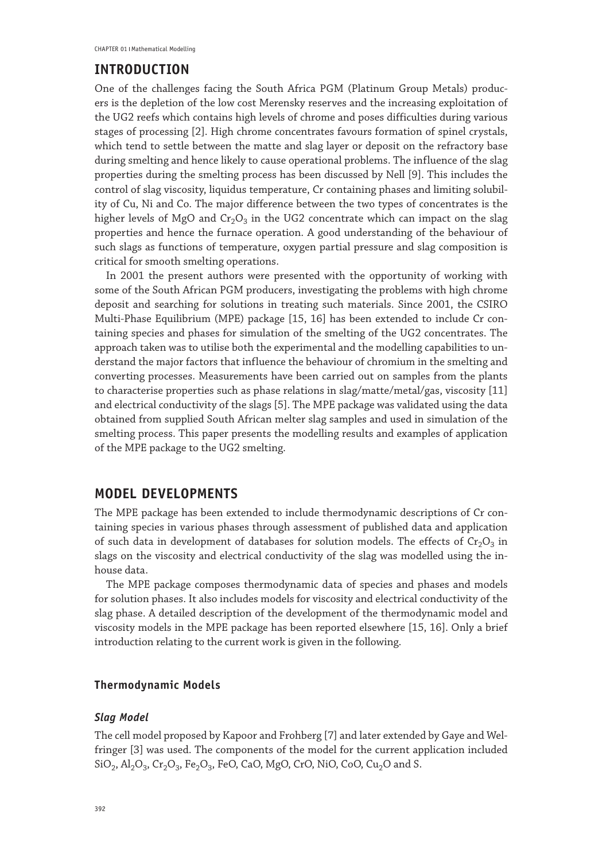## **INTRODUCTION**

One of the challenges facing the South Africa PGM (Platinum Group Metals) producers is the depletion of the low cost Merensky reserves and the increasing exploitation of the UG2 reefs which contains high levels of chrome and poses difficulties during various stages of processing [2]. High chrome concentrates favours formation of spinel crystals, which tend to settle between the matte and slag layer or deposit on the refractory base during smelting and hence likely to cause operational problems. The influence of the slag properties during the smelting process has been discussed by Nell [9]. This includes the control of slag viscosity, liquidus temperature, Cr containing phases and limiting solubility of Cu, Ni and Co. The major difference between the two types of concentrates is the higher levels of MgO and  $Cr_2O_3$  in the UG2 concentrate which can impact on the slag properties and hence the furnace operation. A good understanding of the behaviour of such slags as functions of temperature, oxygen partial pressure and slag composition is critical for smooth smelting operations.

In 2001 the present authors were presented with the opportunity of working with some of the South African PGM producers, investigating the problems with high chrome deposit and searching for solutions in treating such materials. Since 2001, the CSIRO Multi-Phase Equilibrium (MPE) package [15, 16] has been extended to include Cr containing species and phases for simulation of the smelting of the UG2 concentrates. The approach taken was to utilise both the experimental and the modelling capabilities to understand the major factors that influence the behaviour of chromium in the smelting and converting processes. Measurements have been carried out on samples from the plants to characterise properties such as phase relations in slag/matte/metal/gas, viscosity [11] and electrical conductivity of the slags [5]. The MPE package was validated using the data obtained from supplied South African melter slag samples and used in simulation of the smelting process. This paper presents the modelling results and examples of application of the MPE package to the UG2 smelting.

### **MODEL DEVELOPMENTS**

The MPE package has been extended to include thermodynamic descriptions of Cr containing species in various phases through assessment of published data and application of such data in development of databases for solution models. The effects of  $Cr_2O_3$  in slags on the viscosity and electrical conductivity of the slag was modelled using the inhouse data.

The MPE package composes thermodynamic data of species and phases and models for solution phases. It also includes models for viscosity and electrical conductivity of the slag phase. A detailed description of the development of the thermodynamic model and viscosity models in the MPE package has been reported elsewhere [15, 16]. Only a brief introduction relating to the current work is given in the following.

### **Thermodynamic Models**

#### *Slag Model*

The cell model proposed by Kapoor and Frohberg [7] and later extended by Gaye and Welfringer [3] was used. The components of the model for the current application included  $SiO_2$ ,  $Al_2O_3$ ,  $Cr_2O_3$ ,  $Fe_2O_3$ ,  $FeO$ , CaO, MgO, CrO, NiO, CoO, Cu<sub>2</sub>O and S.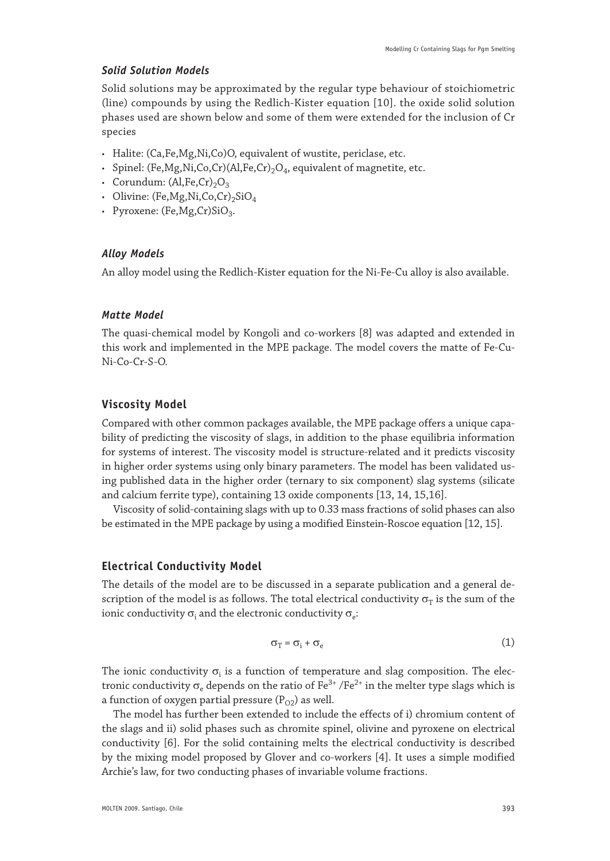### *Solid Solution Models*

Solid solutions may be approximated by the regular type behaviour of stoichiometric (line) compounds by using the Redlich-Kister equation [10]. the oxide solid solution phases used are shown below and some of them were extended for the inclusion of Cr species

- • Halite: (Ca,Fe,Mg,Ni,Co)O, equivalent of wustite, periclase, etc.
- Spinel: (Fe, Mg, Ni, Co, Cr)(Al, Fe, Cr)<sub>2</sub>O<sub>4</sub>, equivalent of magnetite, etc.
- Corundum:  $(Al,Fe,Cr)_2O_3$
- Olivine: (Fe, Mg, Ni, Co, Cr)<sub>2</sub>SiO<sub>4</sub>
- Pyroxene: (Fe, Mg, Cr)SiO<sub>3</sub>.

#### *Alloy Models*

An alloy model using the Redlich-Kister equation for the Ni-Fe-Cu alloy is also available.

#### *Matte Model*

The quasi-chemical model by Kongoli and co-workers [8] was adapted and extended in this work and implemented in the MPE package. The model covers the matte of Fe-Cu-Ni-Co-Cr-S-O.

### **Viscosity Model**

Compared with other common packages available, the MPE package offers a unique capability of predicting the viscosity of slags, in addition to the phase equilibria information for systems of interest. The viscosity model is structure-related and it predicts viscosity in higher order systems using only binary parameters. The model has been validated using published data in the higher order (ternary to six component) slag systems (silicate and calcium ferrite type), containing 13 oxide components [13, 14, 15,16].

Viscosity of solid-containing slags with up to 0.33 mass fractions of solid phases can also be estimated in the MPE package by using a modified Einstein-Roscoe equation [12, 15].

### **Electrical Conductivity Model**

The details of the model are to be discussed in a separate publication and a general description of the model is as follows. The total electrical conductivity  $\sigma_T$  is the sum of the ionic conductivity  $\sigma_i$  and the electronic conductivity  $\sigma_e$ :

$$
\sigma_{\rm T} = \sigma_{\rm i} + \sigma_{\rm e} \tag{1}
$$

The ionic conductivity  $\sigma_{\rm i}$  is a function of temperature and slag composition. The electronic conductivity  $\sigma_{\rm e}$  depends on the ratio of Fe<sup>3+</sup> /Fe<sup>2+</sup> in the melter type slags which is a function of oxygen partial pressure  $(P_{Q2})$  as well.

The model has further been extended to include the effects of i) chromium content of the slags and ii) solid phases such as chromite spinel, olivine and pyroxene on electrical conductivity [6]. For the solid containing melts the electrical conductivity is described by the mixing model proposed by Glover and co-workers [4]. It uses a simple modified Archie's law, for two conducting phases of invariable volume fractions.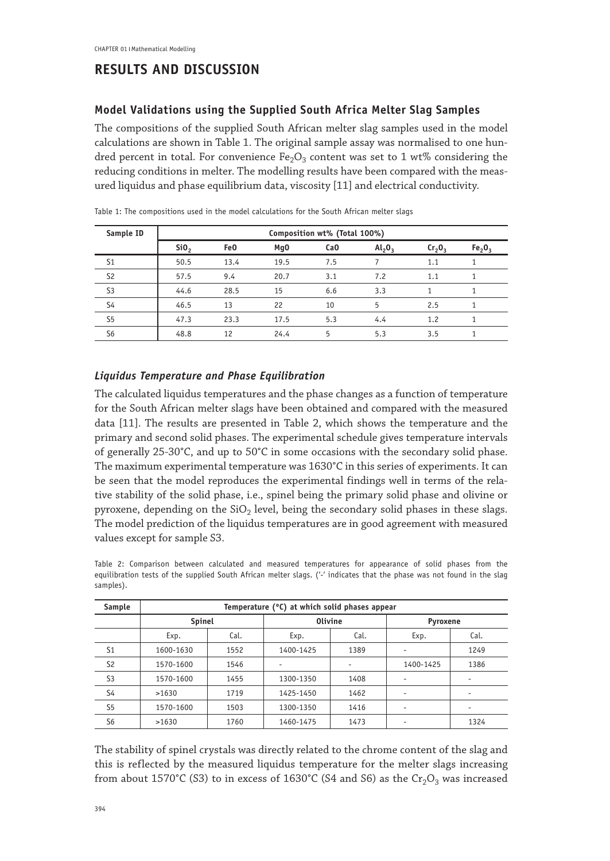# **RESULTS AND DISCUSSION**

# **Model Validations using the Supplied South Africa Melter Slag Samples**

The compositions of the supplied South African melter slag samples used in the model calculations are shown in Table 1. The original sample assay was normalised to one hundred percent in total. For convenience Fe<sub>2</sub>O<sub>3</sub> content was set to 1 wt% considering the reducing conditions in melter. The modelling results have been compared with the measured liquidus and phase equilibrium data, viscosity [11] and electrical conductivity.

| Sample ID      | Composition wt% (Total 100%) |                 |                 |                 |                             |        |                                |
|----------------|------------------------------|-----------------|-----------------|-----------------|-----------------------------|--------|--------------------------------|
|                | SiO <sub>2</sub>             | Fe <sub>0</sub> | Mg <sub>0</sub> | Ca <sub>0</sub> | $\mathsf{Al}_2\mathsf{O}_3$ | Cr, 0, | Fe <sub>2</sub> O <sub>3</sub> |
| S <sub>1</sub> | 50.5                         | 13.4            | 19.5            | 7.5             |                             | 1.1    |                                |
| S <sub>2</sub> | 57.5                         | 9.4             | 20.7            | 3.1             | 7.2                         | 1.1    | 1                              |
| S <sub>3</sub> | 44.6                         | 28.5            | 15              | 6.6             | 3.3                         |        |                                |
| S4             | 46.5                         | 13              | 22              | 10              | 5                           | 2.5    | 1                              |
| S <sub>5</sub> | 47.3                         | 23.3            | 17.5            | 5.3             | 4.4                         | 1.2    |                                |
| S <sub>6</sub> | 48.8                         | 12              | 24.4            | 5               | 5.3                         | 3.5    |                                |

Table 1: The compositions used in the model calculations for the South African melter slags

### *Liquidus Temperature and Phase Equilibration*

The calculated liquidus temperatures and the phase changes as a function of temperature for the South African melter slags have been obtained and compared with the measured data [11]. The results are presented in Table 2, which shows the temperature and the primary and second solid phases. The experimental schedule gives temperature intervals of generally 25-30°C, and up to 50°C in some occasions with the secondary solid phase. The maximum experimental temperature was 1630°C in this series of experiments. It can be seen that the model reproduces the experimental findings well in terms of the relative stability of the solid phase, i.e., spinel being the primary solid phase and olivine or pyroxene, depending on the  $SiO<sub>2</sub>$  level, being the secondary solid phases in these slags. The model prediction of the liquidus temperatures are in good agreement with measured values except for sample S3.

Table 2: Comparison between calculated and measured temperatures for appearance of solid phases from the equilibration tests of the supplied South African melter slags. ('-' indicates that the phase was not found in the slag samples).

| Sample         | Temperature (°C) at which solid phases appear |      |                |      |           |      |  |
|----------------|-----------------------------------------------|------|----------------|------|-----------|------|--|
|                | Spinel                                        |      | <b>Olivine</b> |      | Pyroxene  |      |  |
|                | Exp.                                          | Cal. | Exp.           | Cal. | Exp.      | Cal. |  |
| S <sub>1</sub> | 1600-1630                                     | 1552 | 1400-1425      | 1389 |           | 1249 |  |
| S <sub>2</sub> | 1570-1600                                     | 1546 |                | ٠    | 1400-1425 | 1386 |  |
| S <sub>3</sub> | 1570-1600                                     | 1455 | 1300-1350      | 1408 | ۰         |      |  |
| S4             | >1630                                         | 1719 | 1425-1450      | 1462 |           |      |  |
| S <sub>5</sub> | 1570-1600                                     | 1503 | 1300-1350      | 1416 | ۰         |      |  |
| S <sub>6</sub> | >1630                                         | 1760 | 1460-1475      | 1473 |           | 1324 |  |

The stability of spinel crystals was directly related to the chrome content of the slag and this is reflected by the measured liquidus temperature for the melter slags increasing from about 1570°C (S3) to in excess of 1630°C (S4 and S6) as the  $Cr_2O_3$  was increased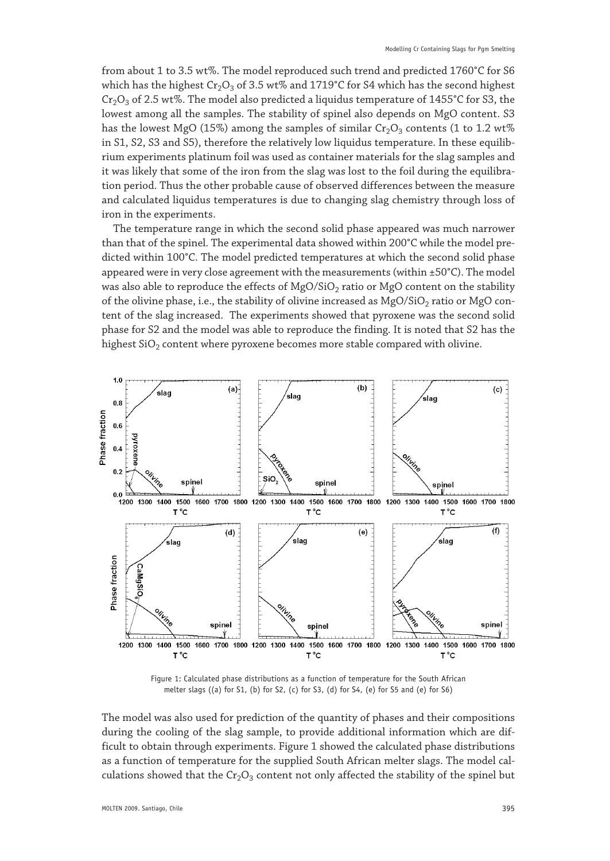from about 1 to 3.5 wt%. The model reproduced such trend and predicted 1760°C for S6 which has the highest  $Cr_2O_3$  of 3.5 wt% and 1719°C for S4 which has the second highest Cr<sub>2</sub>O<sub>3</sub> of 2.5 wt%. The model also predicted a liquidus temperature of 1455°C for S3, the lowest among all the samples. The stability of spinel also depends on MgO content. S3 has the lowest MgO (15%) among the samples of similar  $Cr_2O_3$  contents (1 to 1.2 wt%) in S1, S2, S3 and S5), therefore the relatively low liquidus temperature. In these equilibrium experiments platinum foil was used as container materials for the slag samples and it was likely that some of the iron from the slag was lost to the foil during the equilibration period. Thus the other probable cause of observed differences between the measure and calculated liquidus temperatures is due to changing slag chemistry through loss of iron in the experiments.

The temperature range in which the second solid phase appeared was much narrower than that of the spinel. The experimental data showed within 200°C while the model predicted within 100°C. The model predicted temperatures at which the second solid phase appeared were in very close agreement with the measurements (within ±50°C). The model was also able to reproduce the effects of  $MgO/SiO<sub>2</sub>$  ratio or  $MgO$  content on the stability of the olivine phase, i.e., the stability of olivine increased as  $MgO/SiO<sub>2</sub>$  ratio or  $MgO$  content of the slag increased. The experiments showed that pyroxene was the second solid phase for S2 and the model was able to reproduce the finding. It is noted that S2 has the highest  $SiO<sub>2</sub>$  content where pyroxene becomes more stable compared with olivine.



Figure 1: Calculated phase distributions as a function of temperature for the South African melter slags ((a) for S1, (b) for S2, (c) for S3, (d) for S4, (e) for S5 and (e) for S6)

The model was also used for prediction of the quantity of phases and their compositions during the cooling of the slag sample, to provide additional information which are difficult to obtain through experiments. Figure 1 showed the calculated phase distributions as a function of temperature for the supplied South African melter slags. The model calculations showed that the  $Cr_2O_3$  content not only affected the stability of the spinel but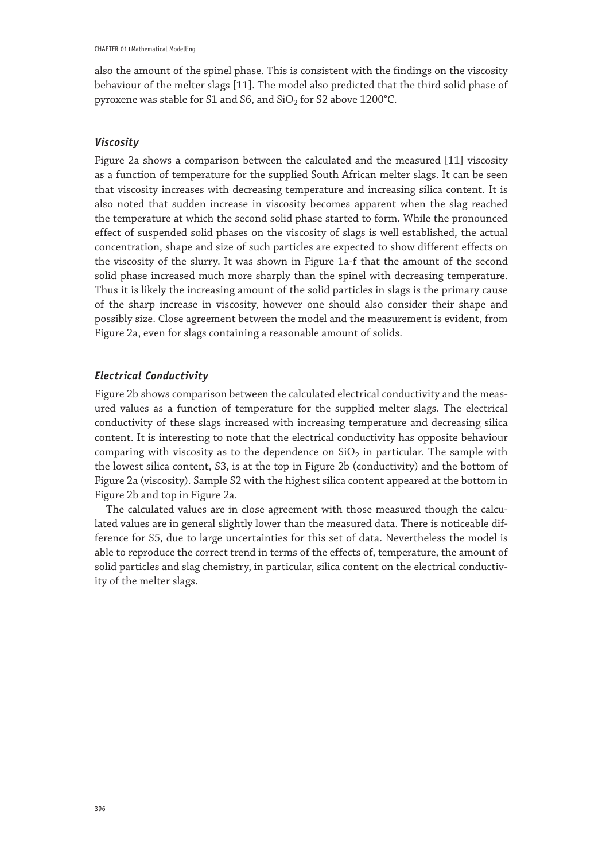also the amount of the spinel phase. This is consistent with the findings on the viscosity behaviour of the melter slags [11]. The model also predicted that the third solid phase of pyroxene was stable for S1 and S6, and SiO<sub>2</sub> for S2 above 1200°C.

### *Viscosity*

Figure 2a shows a comparison between the calculated and the measured [11] viscosity as a function of temperature for the supplied South African melter slags. It can be seen that viscosity increases with decreasing temperature and increasing silica content. It is also noted that sudden increase in viscosity becomes apparent when the slag reached the temperature at which the second solid phase started to form. While the pronounced effect of suspended solid phases on the viscosity of slags is well established, the actual concentration, shape and size of such particles are expected to show different effects on the viscosity of the slurry. It was shown in Figure 1a-f that the amount of the second solid phase increased much more sharply than the spinel with decreasing temperature. Thus it is likely the increasing amount of the solid particles in slags is the primary cause of the sharp increase in viscosity, however one should also consider their shape and possibly size. Close agreement between the model and the measurement is evident, from Figure 2a, even for slags containing a reasonable amount of solids.

### *Electrical Conductivity*

Figure 2b shows comparison between the calculated electrical conductivity and the measured values as a function of temperature for the supplied melter slags. The electrical conductivity of these slags increased with increasing temperature and decreasing silica content. It is interesting to note that the electrical conductivity has opposite behaviour comparing with viscosity as to the dependence on  $SiO<sub>2</sub>$  in particular. The sample with the lowest silica content, S3, is at the top in Figure 2b (conductivity) and the bottom of Figure 2a (viscosity). Sample S2 with the highest silica content appeared at the bottom in Figure 2b and top in Figure 2a.

The calculated values are in close agreement with those measured though the calculated values are in general slightly lower than the measured data. There is noticeable difference for S5, due to large uncertainties for this set of data. Nevertheless the model is able to reproduce the correct trend in terms of the effects of, temperature, the amount of solid particles and slag chemistry, in particular, silica content on the electrical conductivity of the melter slags.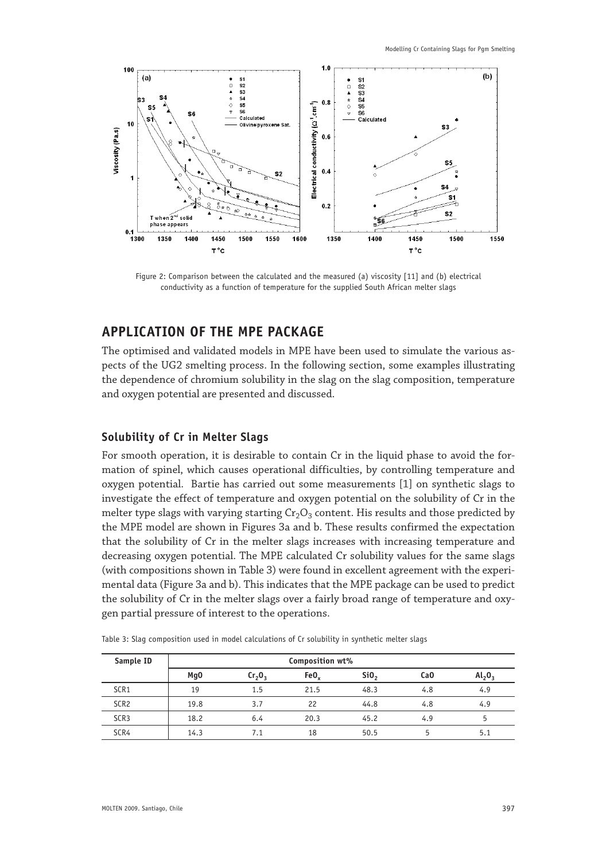

Figure 2: Comparison between the calculated and the measured (a) viscosity [11] and (b) electrical conductivity as a function of temperature for the supplied South African melter slags

# **APPLICATION OF THE MPE PACKAGE**

The optimised and validated models in MPE have been used to simulate the various aspects of the UG2 smelting process. In the following section, some examples illustrating the dependence of chromium solubility in the slag on the slag composition, temperature and oxygen potential are presented and discussed.

### **Solubility of Cr in Melter Slags**

For smooth operation, it is desirable to contain Cr in the liquid phase to avoid the formation of spinel, which causes operational difficulties, by controlling temperature and oxygen potential. Bartie has carried out some measurements [1] on synthetic slags to investigate the effect of temperature and oxygen potential on the solubility of Cr in the melter type slags with varying starting  $Cr_2O_3$  content. His results and those predicted by the MPE model are shown in Figures 3a and b. These results confirmed the expectation that the solubility of Cr in the melter slags increases with increasing temperature and decreasing oxygen potential. The MPE calculated Cr solubility values for the same slags (with compositions shown in Table 3) were found in excellent agreement with the experimental data (Figure 3a and b). This indicates that the MPE package can be used to predict the solubility of Cr in the melter slags over a fairly broad range of temperature and oxygen partial pressure of interest to the operations.

| Sample ID        | Composition wt% |                                |      |                 |                 |           |  |
|------------------|-----------------|--------------------------------|------|-----------------|-----------------|-----------|--|
|                  | Mg <sub>0</sub> | Cr <sub>2</sub> O <sub>3</sub> | FeO. | Si <sub>0</sub> | Ca <sub>0</sub> | $Al_2O_3$ |  |
| SCR <sub>1</sub> | 19              | 1.5                            | 21.5 | 48.3            | 4.8             | 4.9       |  |
| SCR <sub>2</sub> | 19.8            | 3.7                            | 22   | 44.8            | 4.8             | 4.9       |  |
| SCR <sub>3</sub> | 18.2            | 6.4                            | 20.3 | 45.2            | 4.9             | 5         |  |
| SCR4             | 14.3            | 7.1                            | 18   | 50.5            |                 | 5.1       |  |

Table 3: Slag composition used in model calculations of Cr solubility in synthetic melter slags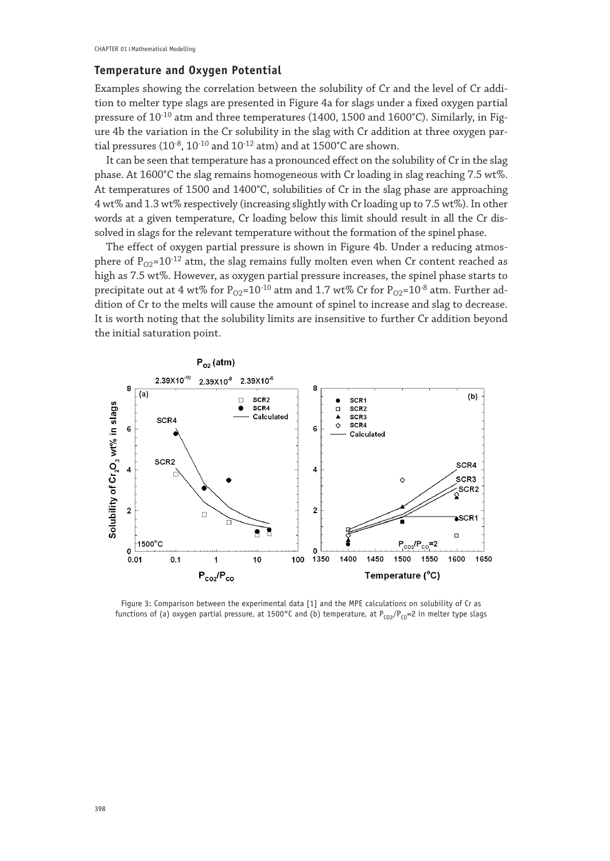### **Temperature and Oxygen Potential**

Examples showing the correlation between the solubility of Cr and the level of Cr addition to melter type slags are presented in Figure 4a for slags under a fixed oxygen partial pressure of  $10^{-10}$  atm and three temperatures (1400, 1500 and 1600°C). Similarly, in Figure 4b the variation in the Cr solubility in the slag with Cr addition at three oxygen partial pressures ( $10^{-8}$ ,  $10^{-10}$  and  $10^{-12}$  atm) and at  $1500^{\circ}$ C are shown.

It can be seen that temperature has a pronounced effect on the solubility of Cr in the slag phase. At 1600°C the slag remains homogeneous with Cr loading in slag reaching 7.5 wt%. At temperatures of 1500 and 1400°C, solubilities of Cr in the slag phase are approaching 4 wt% and 1.3 wt% respectively (increasing slightly with Cr loading up to 7.5 wt%). In other words at a given temperature, Cr loading below this limit should result in all the Cr dissolved in slags for the relevant temperature without the formation of the spinel phase.

The effect of oxygen partial pressure is shown in Figure 4b. Under a reducing atmosphere of  $P_{02}=10^{-12}$  atm, the slag remains fully molten even when Cr content reached as high as 7.5 wt%. However, as oxygen partial pressure increases, the spinel phase starts to precipitate out at 4 wt% for  $P_{O2}$ =10<sup>-10</sup> atm and 1.7 wt% Cr for  $P_{O2}$ =10<sup>-8</sup> atm. Further addition of Cr to the melts will cause the amount of spinel to increase and slag to decrease. It is worth noting that the solubility limits are insensitive to further Cr addition beyond the initial saturation point.



Figure 3: Comparison between the experimental data [1] and the MPE calculations on solubility of Cr as functions of (a) oxygen partial pressure, at 1500°C and (b) temperature, at  $P_{CO2}/P_{CO}=2$  in melter type slags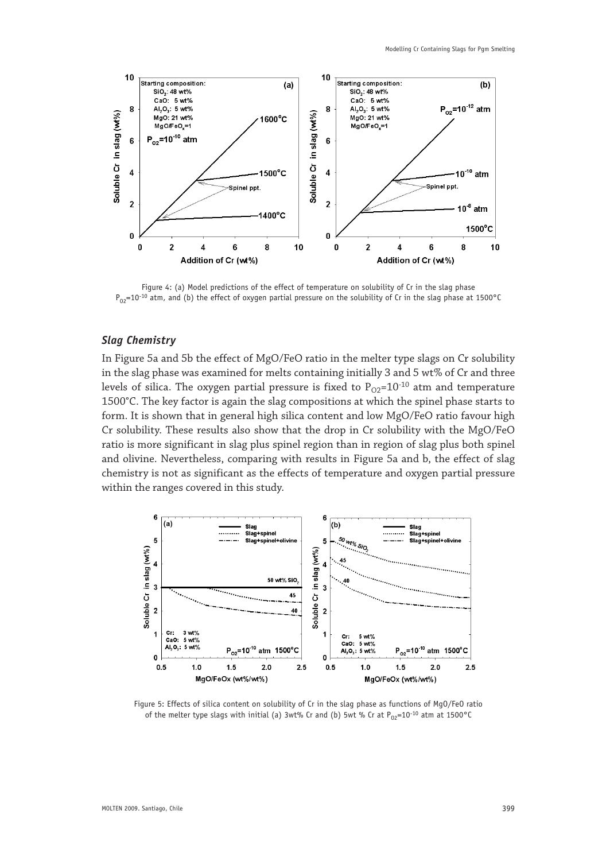

Figure 4: (a) Model predictions of the effect of temperature on solubility of Cr in the slag phase  $P_{0.2}=10^{-10}$  atm, and (b) the effect of oxygen partial pressure on the solubility of Cr in the slag phase at 1500°C

### *Slag Chemistry*

In Figure 5a and 5b the effect of MgO/FeO ratio in the melter type slags on Cr solubility in the slag phase was examined for melts containing initially 3 and 5 wt% of Cr and three levels of silica. The oxygen partial pressure is fixed to  $P_{Q2}=10^{-10}$  atm and temperature 1500°C. The key factor is again the slag compositions at which the spinel phase starts to form. It is shown that in general high silica content and low MgO/FeO ratio favour high Cr solubility. These results also show that the drop in Cr solubility with the MgO/FeO ratio is more significant in slag plus spinel region than in region of slag plus both spinel and olivine. Nevertheless, comparing with results in Figure 5a and b, the effect of slag chemistry is not as significant as the effects of temperature and oxygen partial pressure within the ranges covered in this study.



Figure 5: Effects of silica content on solubility of Cr in the slag phase as functions of MgO/FeO ratio of the melter type slags with initial (a) 3wt% Cr and (b) 5wt % Cr at  $P_{0.2}=10^{-10}$  atm at 1500 °C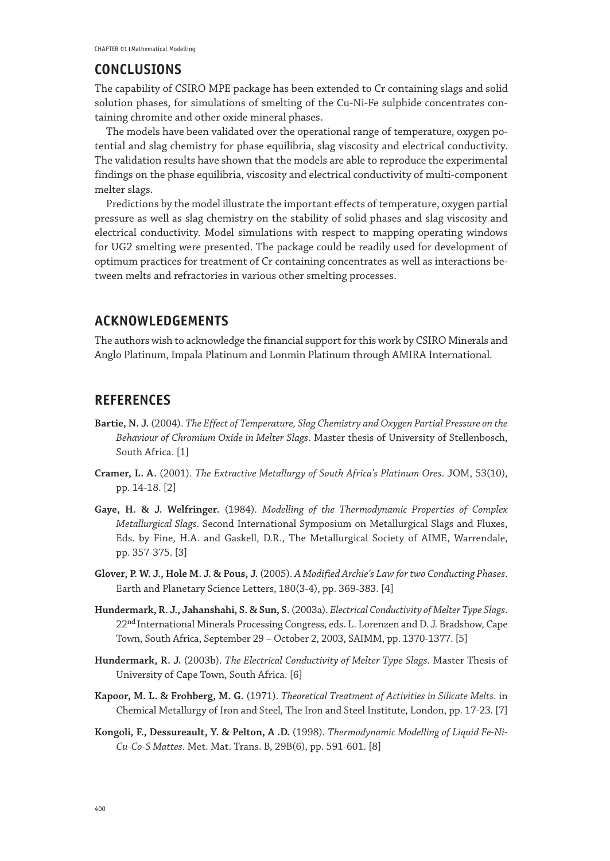# **CONCLUSIONS**

The capability of CSIRO MPE package has been extended to Cr containing slags and solid solution phases, for simulations of smelting of the Cu-Ni-Fe sulphide concentrates containing chromite and other oxide mineral phases.

The models have been validated over the operational range of temperature, oxygen potential and slag chemistry for phase equilibria, slag viscosity and electrical conductivity. The validation results have shown that the models are able to reproduce the experimental findings on the phase equilibria, viscosity and electrical conductivity of multi-component melter slags.

Predictions by the model illustrate the important effects of temperature, oxygen partial pressure as well as slag chemistry on the stability of solid phases and slag viscosity and electrical conductivity. Model simulations with respect to mapping operating windows for UG2 smelting were presented. The package could be readily used for development of optimum practices for treatment of Cr containing concentrates as well as interactions between melts and refractories in various other smelting processes.

# **ACKNOWLEDGEMENTS**

The authors wish to acknowledge the financial support for this work by CSIRO Minerals and Anglo Platinum, Impala Platinum and Lonmin Platinum through AMIRA International.

# **REFERENCES**

- **Bartie, N. J.** (2004). *The Effect of Temperature, Slag Chemistry and Oxygen Partial Pressure on the Behaviour of Chromium Oxide in Melter Slags*. Master thesis of University of Stellenbosch, South Africa. [1]
- **Cramer, L. A.** (2001). *The Extractive Metallurgy of South Africa's Platinum Ores*. JOM, 53(10), pp. 14-18. [2]
- **Gaye, H. & J. Welfringer.** (1984). *Modelling of the Thermodynamic Properties of Complex Metallurgical Slags*. Second International Symposium on Metallurgical Slags and Fluxes, Eds. by Fine, H.A. and Gaskell, D.R., The Metallurgical Society of AIME, Warrendale, pp. 357-375. [3]
- **Glover, P. W. J., Hole M. J. & Pous, J.** (2005). *A Modified Archie's Law for two Conducting Phases*. Earth and Planetary Science Letters, 180(3-4), pp. 369-383. [4]
- **Hundermark, R. J., Jahanshahi, S. & Sun, S.** (2003a). *Electrical Conductivity of Melter Type Slags*. 22<sup>nd</sup> International Minerals Processing Congress, eds. L. Lorenzen and D. J. Bradshow, Cape Town, South Africa, September 29 – October 2, 2003, SAIMM, pp. 1370-1377. [5]
- **Hundermark, R. J.** (2003b). *The Electrical Conductivity of Melter Type Slags*. Master Thesis of University of Cape Town, South Africa. [6]
- **Kapoor, M. L. & Frohberg, M. G.** (1971). *Theoretical Treatment of Activities in Silicate Melts*. in Chemical Metallurgy of Iron and Steel, The Iron and Steel Institute, London, pp. 17-23. [7]
- **Kongoli, F., Dessureault, Y. & Pelton, A .D.** (1998). *Thermodynamic Modelling of Liquid Fe-Ni-Cu-Co-S Mattes*. Met. Mat. Trans. B, 29B(6), pp. 591-601. [8]